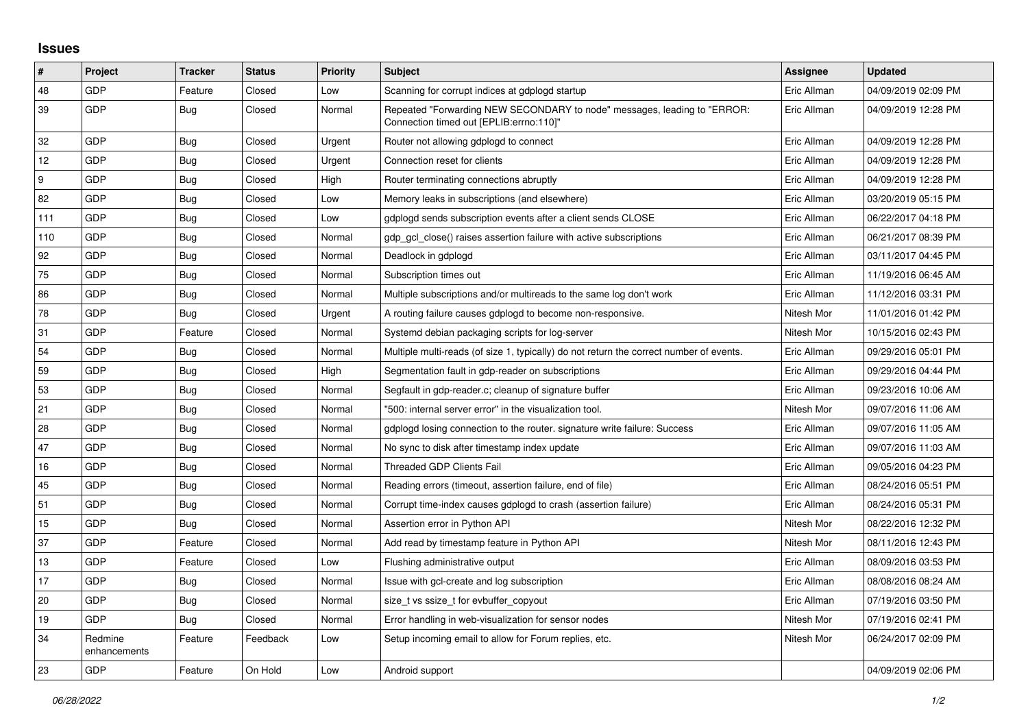## **Issues**

| $\vert$ # | Project                 | <b>Tracker</b> | <b>Status</b> | <b>Priority</b> | Subject                                                                                                               | <b>Assignee</b> | <b>Updated</b>      |
|-----------|-------------------------|----------------|---------------|-----------------|-----------------------------------------------------------------------------------------------------------------------|-----------------|---------------------|
| 48        | GDP                     | Feature        | Closed        | Low             | Scanning for corrupt indices at gdplogd startup                                                                       | Eric Allman     | 04/09/2019 02:09 PM |
| 39        | GDP                     | <b>Bug</b>     | Closed        | Normal          | Repeated "Forwarding NEW SECONDARY to node" messages, leading to "ERROR:<br>Connection timed out [EPLIB: errno: 110]" | Eric Allman     | 04/09/2019 12:28 PM |
| 32        | <b>GDP</b>              | <b>Bug</b>     | Closed        | Urgent          | Router not allowing gdplogd to connect                                                                                | Eric Allman     | 04/09/2019 12:28 PM |
| 12        | GDP                     | Bug            | Closed        | Urgent          | Connection reset for clients                                                                                          | Eric Allman     | 04/09/2019 12:28 PM |
| 9         | <b>GDP</b>              | <b>Bug</b>     | Closed        | High            | Router terminating connections abruptly                                                                               | Eric Allman     | 04/09/2019 12:28 PM |
| 82        | <b>GDP</b>              | <b>Bug</b>     | Closed        | Low             | Memory leaks in subscriptions (and elsewhere)                                                                         | Eric Allman     | 03/20/2019 05:15 PM |
| 111       | GDP                     | <b>Bug</b>     | Closed        | Low             | gdplogd sends subscription events after a client sends CLOSE                                                          | Eric Allman     | 06/22/2017 04:18 PM |
| 110       | <b>GDP</b>              | Bug            | Closed        | Normal          | gdp gcl close() raises assertion failure with active subscriptions                                                    | Eric Allman     | 06/21/2017 08:39 PM |
| 92        | GDP                     | <b>Bug</b>     | Closed        | Normal          | Deadlock in gdplogd                                                                                                   | Eric Allman     | 03/11/2017 04:45 PM |
| 75        | GDP                     | <b>Bug</b>     | Closed        | Normal          | Subscription times out                                                                                                | Eric Allman     | 11/19/2016 06:45 AM |
| 86        | GDP                     | <b>Bug</b>     | Closed        | Normal          | Multiple subscriptions and/or multireads to the same log don't work                                                   | Eric Allman     | 11/12/2016 03:31 PM |
| 78        | GDP                     | <b>Bug</b>     | Closed        | Urgent          | A routing failure causes gdplogd to become non-responsive.                                                            | Nitesh Mor      | 11/01/2016 01:42 PM |
| 31        | GDP                     | Feature        | Closed        | Normal          | Systemd debian packaging scripts for log-server                                                                       | Nitesh Mor      | 10/15/2016 02:43 PM |
| 54        | GDP                     | <b>Bug</b>     | Closed        | Normal          | Multiple multi-reads (of size 1, typically) do not return the correct number of events.                               | Eric Allman     | 09/29/2016 05:01 PM |
| 59        | <b>GDP</b>              | <b>Bug</b>     | Closed        | High            | Segmentation fault in gdp-reader on subscriptions                                                                     | Eric Allman     | 09/29/2016 04:44 PM |
| 53        | <b>GDP</b>              | Bug            | Closed        | Normal          | Segfault in gdp-reader.c; cleanup of signature buffer                                                                 | Eric Allman     | 09/23/2016 10:06 AM |
| 21        | GDP                     | <b>Bug</b>     | Closed        | Normal          | "500: internal server error" in the visualization tool.                                                               | Nitesh Mor      | 09/07/2016 11:06 AM |
| 28        | <b>GDP</b>              | Bug            | Closed        | Normal          | gdplogd losing connection to the router, signature write failure: Success                                             | Eric Allman     | 09/07/2016 11:05 AM |
| 47        | <b>GDP</b>              | <b>Bug</b>     | Closed        | Normal          | No sync to disk after timestamp index update                                                                          | Eric Allman     | 09/07/2016 11:03 AM |
| 16        | GDP                     | <b>Bug</b>     | Closed        | Normal          | Threaded GDP Clients Fail                                                                                             | Eric Allman     | 09/05/2016 04:23 PM |
| 45        | <b>GDP</b>              | <b>Bug</b>     | Closed        | Normal          | Reading errors (timeout, assertion failure, end of file)                                                              | Eric Allman     | 08/24/2016 05:51 PM |
| 51        | GDP                     | Bug            | Closed        | Normal          | Corrupt time-index causes gdplogd to crash (assertion failure)                                                        | Eric Allman     | 08/24/2016 05:31 PM |
| 15        | GDP                     | Bug            | Closed        | Normal          | Assertion error in Python API                                                                                         | Nitesh Mor      | 08/22/2016 12:32 PM |
| 37        | <b>GDP</b>              | Feature        | Closed        | Normal          | Add read by timestamp feature in Python API                                                                           | Nitesh Mor      | 08/11/2016 12:43 PM |
| 13        | GDP                     | Feature        | Closed        | Low             | Flushing administrative output                                                                                        | Eric Allman     | 08/09/2016 03:53 PM |
| 17        | GDP                     | Bug            | Closed        | Normal          | Issue with gcl-create and log subscription                                                                            | Eric Allman     | 08/08/2016 08:24 AM |
| 20        | <b>GDP</b>              | Bug            | Closed        | Normal          | size t vs ssize t for evbuffer copyout                                                                                | Eric Allman     | 07/19/2016 03:50 PM |
| 19        | GDP                     | Bug            | Closed        | Normal          | Error handling in web-visualization for sensor nodes                                                                  | Nitesh Mor      | 07/19/2016 02:41 PM |
| 34        | Redmine<br>enhancements | Feature        | Feedback      | Low             | Setup incoming email to allow for Forum replies, etc.                                                                 | Nitesh Mor      | 06/24/2017 02:09 PM |
| 23        | <b>GDP</b>              | Feature        | On Hold       | Low             | Android support                                                                                                       |                 | 04/09/2019 02:06 PM |